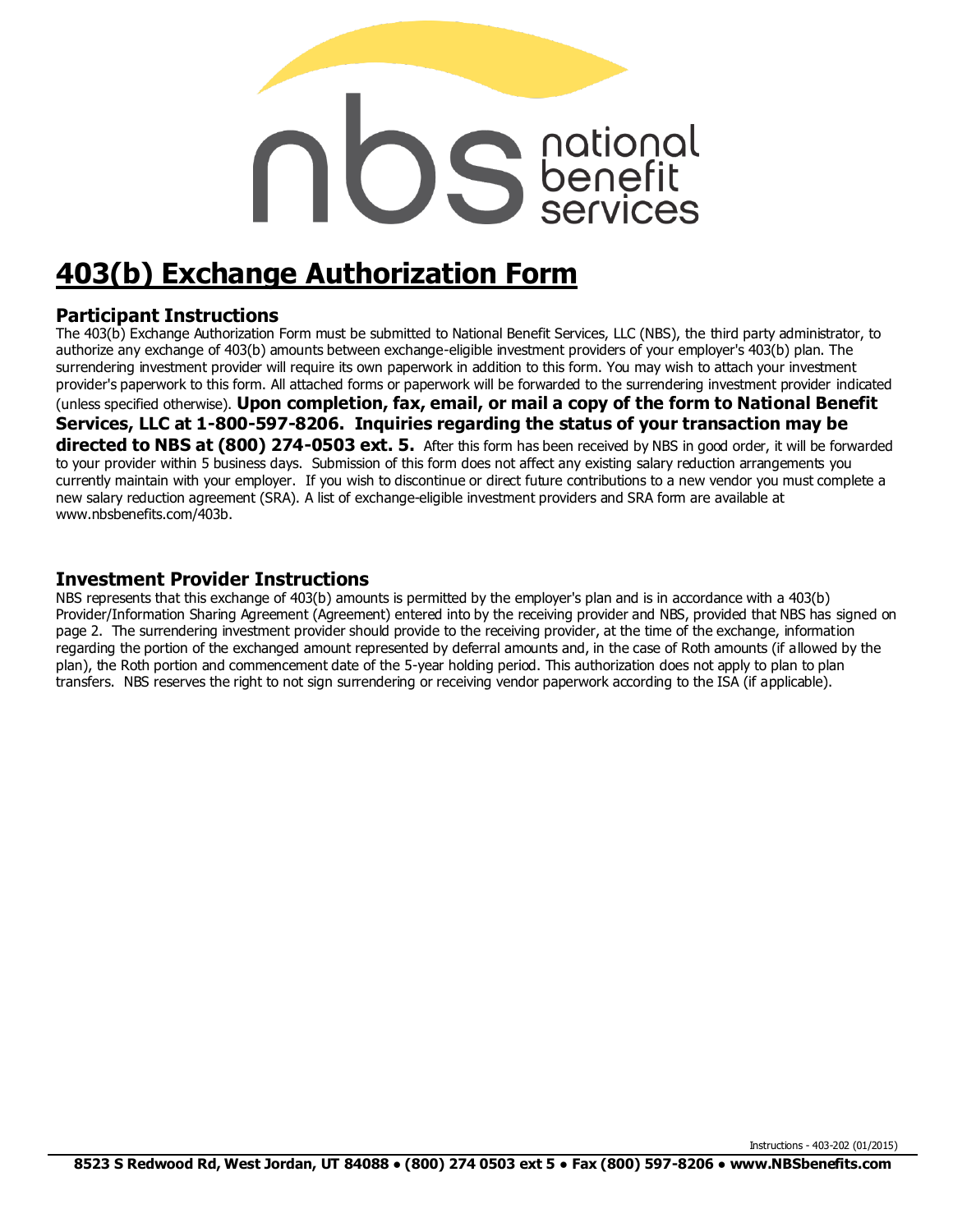# **DS** Senefit

# **403(b) Exchange Authorization Form**

#### **Participant Instructions**

The 403(b) Exchange Authorization Form must be submitted to National Benefit Services, LLC (NBS), the third party administrator, to authorize any exchange of 403(b) amounts between exchange-eligible investment providers of your employer's 403(b) plan. The surrendering investment provider will require its own paperwork in addition to this form. You may wish to attach your investment provider's paperwork to this form. All attached forms or paperwork will be forwarded to the surrendering investment provider indicated (unless specified otherwise). **Upon completion, fax, email, or mail a copy of the form to National Benefit Services, LLC at 1-800-597-8206. Inquiries regarding the status of your transaction may be directed to NBS at (800) 274-0503 ext. 5.** After this form has been received by NBS in good order, it will be forwarded to your provider within 5 business days. Submission of this form does not affect any existing salary reduction arrangements you

currently maintain with your employer. If you wish to discontinue or direct future contributions to a new vendor you must complete a new salary reduction agreement (SRA). A list of exchange-eligible investment providers and SRA form are available at www.nbsbenefits.com/403b.

#### **Investment Provider Instructions**

NBS represents that this exchange of 403(b) amounts is permitted by the employer's plan and is in accordance with a 403(b) Provider/Information Sharing Agreement (Agreement) entered into by the receiving provider and NBS, provided that NBS has signed on page 2. The surrendering investment provider should provide to the receiving provider, at the time of the exchange, information regarding the portion of the exchanged amount represented by deferral amounts and, in the case of Roth amounts (if allowed by the plan), the Roth portion and commencement date of the 5-year holding period. This authorization does not apply to plan to plan transfers. NBS reserves the right to not sign surrendering or receiving vendor paperwork according to the ISA (if applicable).